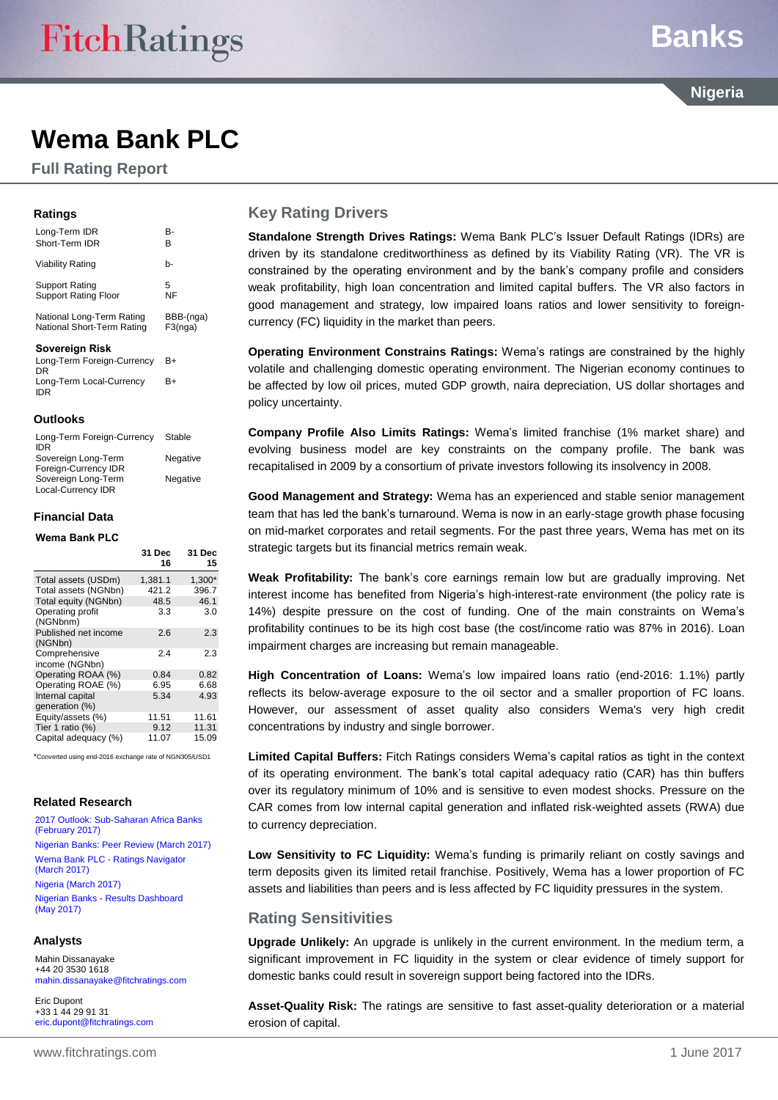## **Banks**

**Nigeria**

### **Wema Bank PLC**

**Full Rating Report**

#### **Ratings**

| Savoroian Diek              |           |
|-----------------------------|-----------|
| National Long-Term Rating   | BBB-(nga) |
| National Short-Term Rating  | F3(nga)   |
| Support Rating              | 5         |
| <b>Support Rating Floor</b> | NF        |
| Viability Rating            | h-        |
| Long-Term IDR               | B-        |
| Short-Term IDR              | R         |

#### **Sovereign Risk**

| Long-Term Foreign-Currency | B+ |
|----------------------------|----|
| DR                         |    |
| Long-Term Local-Currency   | B+ |
| IDR                        |    |

#### **Outlooks**

| Long-Term Foreign-Currency<br><b>IDR</b>    | Stable   |
|---------------------------------------------|----------|
| Sovereign Long-Term<br>Foreign-Currency IDR | Negative |
| Sovereign Long-Term                         | Negative |
| Local-Currency IDR                          |          |

#### **Financial Data**

#### **Wema Bank PLC**

|                                    | 31 Dec<br>16 | 31 Dec<br>15 |
|------------------------------------|--------------|--------------|
| Total assets (USDm)                | 1,381.1      | 1,300*       |
| Total assets (NGNbn)               | 421.2        | 396.7        |
| Total equity (NGNbn)               | 48.5         | 46.1         |
| Operating profit<br>(NGNbnm)       | 3.3          | 3.0          |
| Published net income<br>(NGNbn)    | 2.6          | 2.3          |
| Comprehensive<br>income (NGNbn)    | 2.4          | 2.3          |
| Operating ROAA (%)                 | 0.84         | 0.82         |
| Operating ROAE (%)                 | 6.95         | 6.68         |
| Internal capital<br>generation (%) | 5.34         | 4.93         |
| Equity/assets (%)                  | 11.51        | 11.61        |
| Tier 1 ratio (%)                   | 9.12         | 11.31        |
| Capital adequacy (%)               | 11.07        | 15.09        |

\*Converted using end-2016 exchange rate of NGN305/USD1

#### **Related Research**

[2017 Outlook: Sub-Saharan Africa Banks](https://www.fitchratings.com/site/re/893907)  [\(February](https://www.fitchratings.com/site/re/893907) 2017) [Nigerian Banks: Peer Review \(March](https://www.fitchratings.com/site/re/895253) 2017) Wema Bank PLC - [Ratings Navigator](https://www.fitchratings.com/site/re/895310)  [\(March](https://www.fitchratings.com/site/re/895310) 2017) [Nigeria \(March](https://www.fitchratings.com/site/re/894828) 2017) Nigerian Banks - [Results Dashboard](https://www.fitchratings.com/site/re/897924)  [\(May 2017\)](https://www.fitchratings.com/site/re/897924)

#### **Analysts**

Mahin Dissanayake +44 20 3530 1618 [mahin.dissanayake@fitchratings.com](mailto:mahin.dissanayake@fitchratings.com)

Eric Dupont +33 1 44 29 91 31 [eric.dupont@fitchratings.com](mailto:eric.dupont@fitchratings.com)

#### **Key Rating Drivers**

**Standalone Strength Drives Ratings:** Wema Bank PLC's Issuer Default Ratings (IDRs) are driven by its standalone creditworthiness as defined by its Viability Rating (VR). The VR is constrained by the operating environment and by the bank's company profile and considers weak profitability, high loan concentration and limited capital buffers. The VR also factors in good management and strategy, low impaired loans ratios and lower sensitivity to foreigncurrency (FC) liquidity in the market than peers.

**Operating Environment Constrains Ratings:** Wema's ratings are constrained by the highly volatile and challenging domestic operating environment. The Nigerian economy continues to be affected by low oil prices, muted GDP growth, naira depreciation, US dollar shortages and policy uncertainty.

**Company Profile Also Limits Ratings:** Wema's limited franchise (1% market share) and evolving business model are key constraints on the company profile. The bank was recapitalised in 2009 by a consortium of private investors following its insolvency in 2008.

**Good Management and Strategy:** Wema has an experienced and stable senior management team that has led the bank's turnaround. Wema is now in an early-stage growth phase focusing on mid-market corporates and retail segments. For the past three years, Wema has met on its strategic targets but its financial metrics remain weak.

**Weak Profitability:** The bank's core earnings remain low but are gradually improving. Net interest income has benefited from Nigeria's high-interest-rate environment (the policy rate is 14%) despite pressure on the cost of funding. One of the main constraints on Wema's profitability continues to be its high cost base (the cost/income ratio was 87% in 2016). Loan impairment charges are increasing but remain manageable.

**High Concentration of Loans:** Wema's low impaired loans ratio (end-2016: 1.1%) partly reflects its below-average exposure to the oil sector and a smaller proportion of FC loans. However, our assessment of asset quality also considers Wema's very high credit concentrations by industry and single borrower.

**Limited Capital Buffers:** Fitch Ratings considers Wema's capital ratios as tight in the context of its operating environment. The bank's total capital adequacy ratio (CAR) has thin buffers over its regulatory minimum of 10% and is sensitive to even modest shocks. Pressure on the CAR comes from low internal capital generation and inflated risk-weighted assets (RWA) due to currency depreciation.

**Low Sensitivity to FC Liquidity:** Wema's funding is primarily reliant on costly savings and term deposits given its limited retail franchise. Positively, Wema has a lower proportion of FC assets and liabilities than peers and is less affected by FC liquidity pressures in the system.

#### **Rating Sensitivities**

**Upgrade Unlikely:** An upgrade is unlikely in the current environment. In the medium term, a significant improvement in FC liquidity in the system or clear evidence of timely support for domestic banks could result in sovereign support being factored into the IDRs.

**Asset-Quality Risk:** The ratings are sensitive to fast asset-quality deterioration or a material erosion of capital.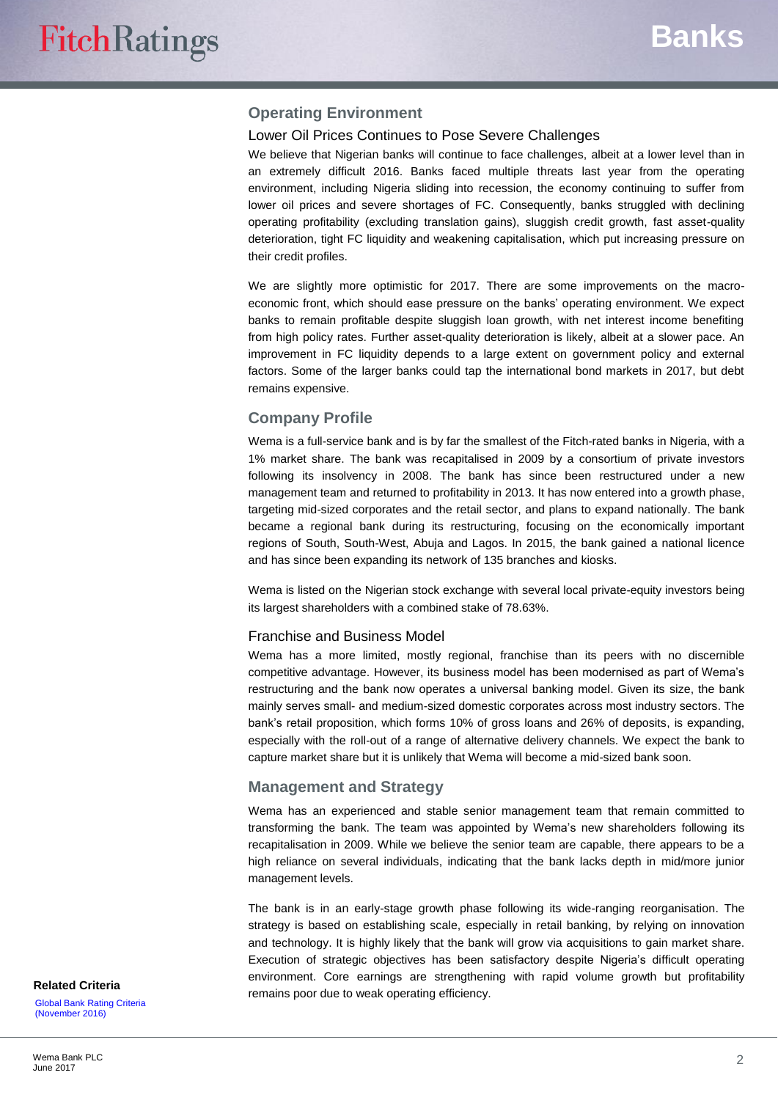#### **Operating Environment**

#### Lower Oil Prices Continues to Pose Severe Challenges

We believe that Nigerian banks will continue to face challenges, albeit at a lower level than in an extremely difficult 2016. Banks faced multiple threats last year from the operating environment, including Nigeria sliding into recession, the economy continuing to suffer from lower oil prices and severe shortages of FC. Consequently, banks struggled with declining operating profitability (excluding translation gains), sluggish credit growth, fast asset-quality deterioration, tight FC liquidity and weakening capitalisation, which put increasing pressure on their credit profiles.

We are slightly more optimistic for 2017. There are some improvements on the macroeconomic front, which should ease pressure on the banks' operating environment. We expect banks to remain profitable despite sluggish loan growth, with net interest income benefiting from high policy rates. Further asset-quality deterioration is likely, albeit at a slower pace. An improvement in FC liquidity depends to a large extent on government policy and external factors. Some of the larger banks could tap the international bond markets in 2017, but debt remains expensive.

#### **Company Profile**

Wema is a full-service bank and is by far the smallest of the Fitch-rated banks in Nigeria, with a 1% market share. The bank was recapitalised in 2009 by a consortium of private investors following its insolvency in 2008. The bank has since been restructured under a new management team and returned to profitability in 2013. It has now entered into a growth phase, targeting mid-sized corporates and the retail sector, and plans to expand nationally. The bank became a regional bank during its restructuring, focusing on the economically important regions of South, South-West, Abuja and Lagos. In 2015, the bank gained a national licence and has since been expanding its network of 135 branches and kiosks.

Wema is listed on the Nigerian stock exchange with several local private-equity investors being its largest shareholders with a combined stake of 78.63%.

#### Franchise and Business Model

Wema has a more limited, mostly regional, franchise than its peers with no discernible competitive advantage. However, its business model has been modernised as part of Wema's restructuring and the bank now operates a universal banking model. Given its size, the bank mainly serves small- and medium-sized domestic corporates across most industry sectors. The bank's retail proposition, which forms 10% of gross loans and 26% of deposits, is expanding, especially with the roll-out of a range of alternative delivery channels. We expect the bank to capture market share but it is unlikely that Wema will become a mid-sized bank soon.

#### **Management and Strategy**

Wema has an experienced and stable senior management team that remain committed to transforming the bank. The team was appointed by Wema's new shareholders following its recapitalisation in 2009. While we believe the senior team are capable, there appears to be a high reliance on several individuals, indicating that the bank lacks depth in mid/more junior management levels.

The bank is in an early-stage growth phase following its wide-ranging reorganisation. The strategy is based on establishing scale, especially in retail banking, by relying on innovation and technology. It is highly likely that the bank will grow via acquisitions to gain market share. Execution of strategic objectives has been satisfactory despite Nigeria's difficult operating environment. Core earnings are strengthening with rapid volume growth but profitability remains poor due to weak operating efficiency. **Related Criteria**

[Global Bank Rating Criteria](https://www.fitchratings.com/site/re/891051)  [\(November](https://www.fitchratings.com/site/re/891051) 2016)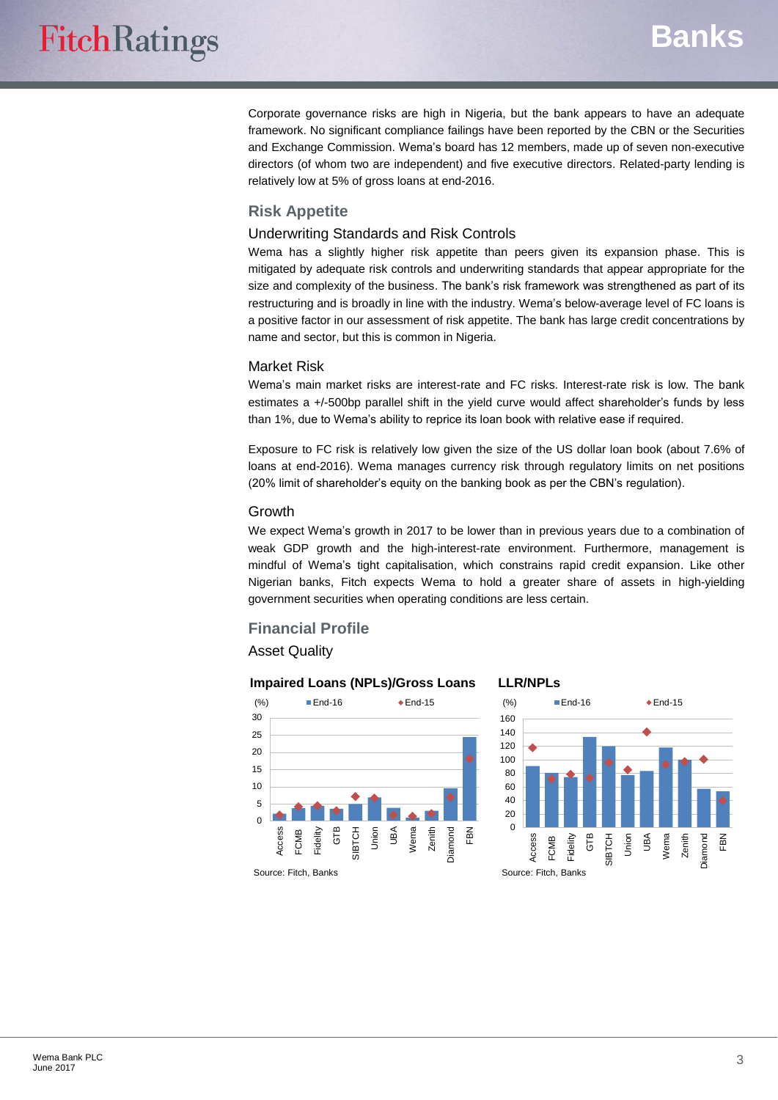Corporate governance risks are high in Nigeria, but the bank appears to have an adequate framework. No significant compliance failings have been reported by the CBN or the Securities and Exchange Commission. Wema's board has 12 members, made up of seven non-executive directors (of whom two are independent) and five executive directors. Related-party lending is relatively low at 5% of gross loans at end-2016.

#### **Risk Appetite**

#### Underwriting Standards and Risk Controls

Wema has a slightly higher risk appetite than peers given its expansion phase. This is mitigated by adequate risk controls and underwriting standards that appear appropriate for the size and complexity of the business. The bank's risk framework was strengthened as part of its restructuring and is broadly in line with the industry. Wema's below-average level of FC loans is a positive factor in our assessment of risk appetite. The bank has large credit concentrations by name and sector, but this is common in Nigeria.

#### Market Risk

Wema's main market risks are interest-rate and FC risks. Interest-rate risk is low. The bank estimates a +/-500bp parallel shift in the yield curve would affect shareholder's funds by less than 1%, due to Wema's ability to reprice its loan book with relative ease if required.

Exposure to FC risk is relatively low given the size of the US dollar loan book (about 7.6% of loans at end-2016). Wema manages currency risk through regulatory limits on net positions (20% limit of shareholder's equity on the banking book as per the CBN's regulation).

#### Growth

We expect Wema's growth in 2017 to be lower than in previous years due to a combination of weak GDP growth and the high-interest-rate environment. Furthermore, management is mindful of Wema's tight capitalisation, which constrains rapid credit expansion. Like other Nigerian banks, Fitch expects Wema to hold a greater share of assets in high-yielding government securities when operating conditions are less certain.

#### **Financial Profile**

Asset Quality



#### **LLR/NPLs**



Source: Fitch, Banks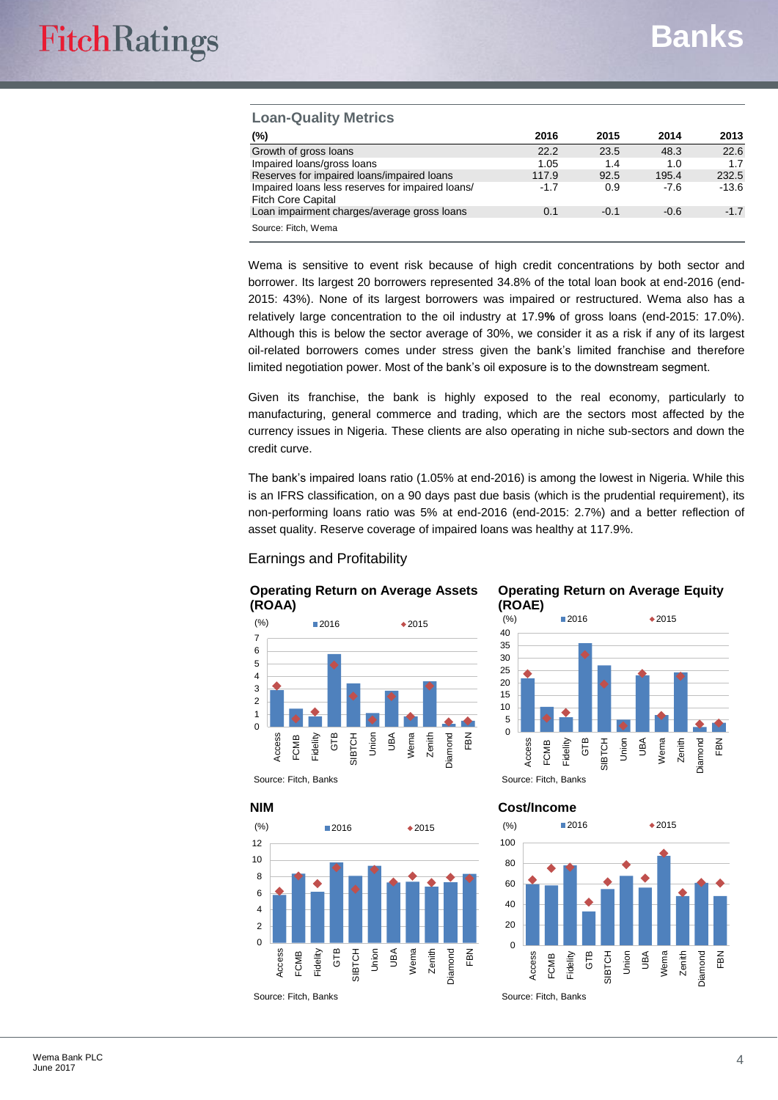#### **Loan-Quality Metrics**

| (%)                                                                           | 2016   | 2015   | 2014   | 2013    |
|-------------------------------------------------------------------------------|--------|--------|--------|---------|
| Growth of gross loans                                                         | 22.2   | 23.5   | 48.3   | 22.6    |
| Impaired loans/gross loans                                                    | 1.05   | 1.4    | 1.0    | 1.7     |
| Reserves for impaired loans/impaired loans                                    | 117.9  | 92.5   | 195.4  | 232.5   |
| Impaired loans less reserves for impaired loans/<br><b>Fitch Core Capital</b> | $-1.7$ | 0.9    | $-7.6$ | $-13.6$ |
| Loan impairment charges/average gross loans                                   | 0.1    | $-0.1$ | $-0.6$ | $-1.7$  |
| Source: Fitch, Wema                                                           |        |        |        |         |

Wema is sensitive to event risk because of high credit concentrations by both sector and borrower. Its largest 20 borrowers represented 34.8% of the total loan book at end-2016 (end-2015: 43%). None of its largest borrowers was impaired or restructured. Wema also has a relatively large concentration to the oil industry at 17.9**%** of gross loans (end-2015: 17.0%). Although this is below the sector average of 30%, we consider it as a risk if any of its largest oil-related borrowers comes under stress given the bank's limited franchise and therefore limited negotiation power. Most of the bank's oil exposure is to the downstream segment.

Given its franchise, the bank is highly exposed to the real economy, particularly to manufacturing, general commerce and trading, which are the sectors most affected by the currency issues in Nigeria. These clients are also operating in niche sub-sectors and down the credit curve.

The bank's impaired loans ratio (1.05% at end-2016) is among the lowest in Nigeria. While this is an IFRS classification, on a 90 days past due basis (which is the prudential requirement), its non-performing loans ratio was 5% at end-2016 (end-2015: 2.7%) and a better reflection of asset quality. Reserve coverage of impaired loans was healthy at 117.9%.

#### Earnings and Profitability



#### **Operating Return on Average Equity (ROAE)**





Source: Fitch, Banks



#### **Cost/Income**

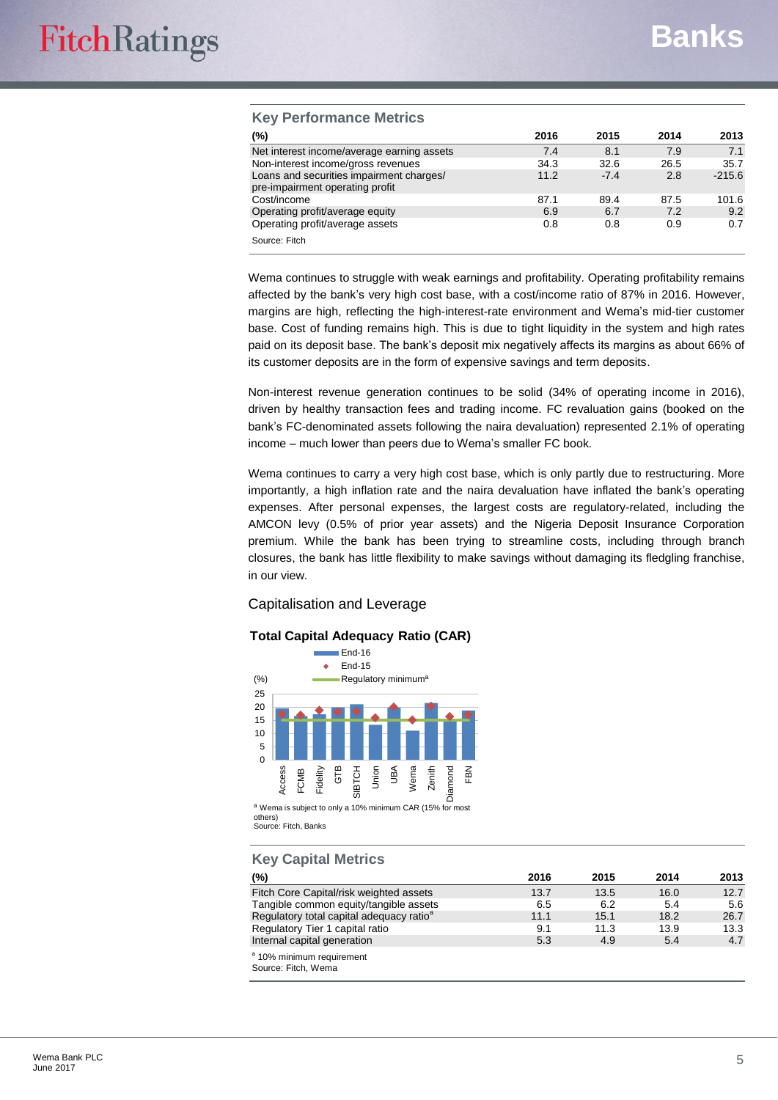#### **Key Performance Metrics**

| (%)                                                                         | 2016 | 2015   | 2014 | 2013     |
|-----------------------------------------------------------------------------|------|--------|------|----------|
| Net interest income/average earning assets                                  | 7.4  | 8.1    | 7.9  | 7.1      |
| Non-interest income/gross revenues                                          | 34.3 | 32.6   | 26.5 | 35.7     |
| Loans and securities impairment charges/<br>pre-impairment operating profit | 11.2 | $-7.4$ | 2.8  | $-215.6$ |
| Cost/income                                                                 | 87.1 | 89.4   | 87.5 | 101.6    |
| Operating profit/average equity                                             | 6.9  | 6.7    | 7.2  | 9.2      |
| Operating profit/average assets                                             | 0.8  | 0.8    | 0.9  | 0.7      |
| Source: Fitch                                                               |      |        |      |          |

Wema continues to struggle with weak earnings and profitability. Operating profitability remains affected by the bank's very high cost base, with a cost/income ratio of 87% in 2016. However, margins are high, reflecting the high-interest-rate environment and Wema's mid-tier customer base. Cost of funding remains high. This is due to tight liquidity in the system and high rates paid on its deposit base. The bank's deposit mix negatively affects its margins as about 66% of its customer deposits are in the form of expensive savings and term deposits.

Non-interest revenue generation continues to be solid (34% of operating income in 2016), driven by healthy transaction fees and trading income. FC revaluation gains (booked on the bank's FC-denominated assets following the naira devaluation) represented 2.1% of operating income – much lower than peers due to Wema's smaller FC book.

Wema continues to carry a very high cost base, which is only partly due to restructuring. More importantly, a high inflation rate and the naira devaluation have inflated the bank's operating expenses. After personal expenses, the largest costs are regulatory-related, including the AMCON levy (0.5% of prior year assets) and the Nigeria Deposit Insurance Corporation premium. While the bank has been trying to streamline costs, including through branch closures, the bank has little flexibility to make savings without damaging its fledgling franchise, in our view.

#### Capitalisation and Leverage

#### **Total Capital Adequacy Ratio (CAR)**



a Wema is subject to only a 10% minimum CAR (15% for most others) Source: Fitch, Banks

#### **Key Capital Metrics**

| (%)                                                         | 2016 | 2015 | 2014 | 2013 |
|-------------------------------------------------------------|------|------|------|------|
| Fitch Core Capital/risk weighted assets                     | 13.7 | 13.5 | 16.0 | 12.7 |
| Tangible common equity/tangible assets                      | 6.5  | 6.2  | 5.4  | 5.6  |
| Regulatory total capital adequacy ratio <sup>a</sup>        | 11.1 | 15.1 | 18.2 | 26.7 |
| Regulatory Tier 1 capital ratio                             | 9.1  | 11.3 | 13.9 | 13.3 |
| Internal capital generation                                 | 5.3  | 4.9  | 5.4  | 4.7  |
| <sup>a</sup> 10% minimum requirement<br>Source: Fitch, Wema |      |      |      |      |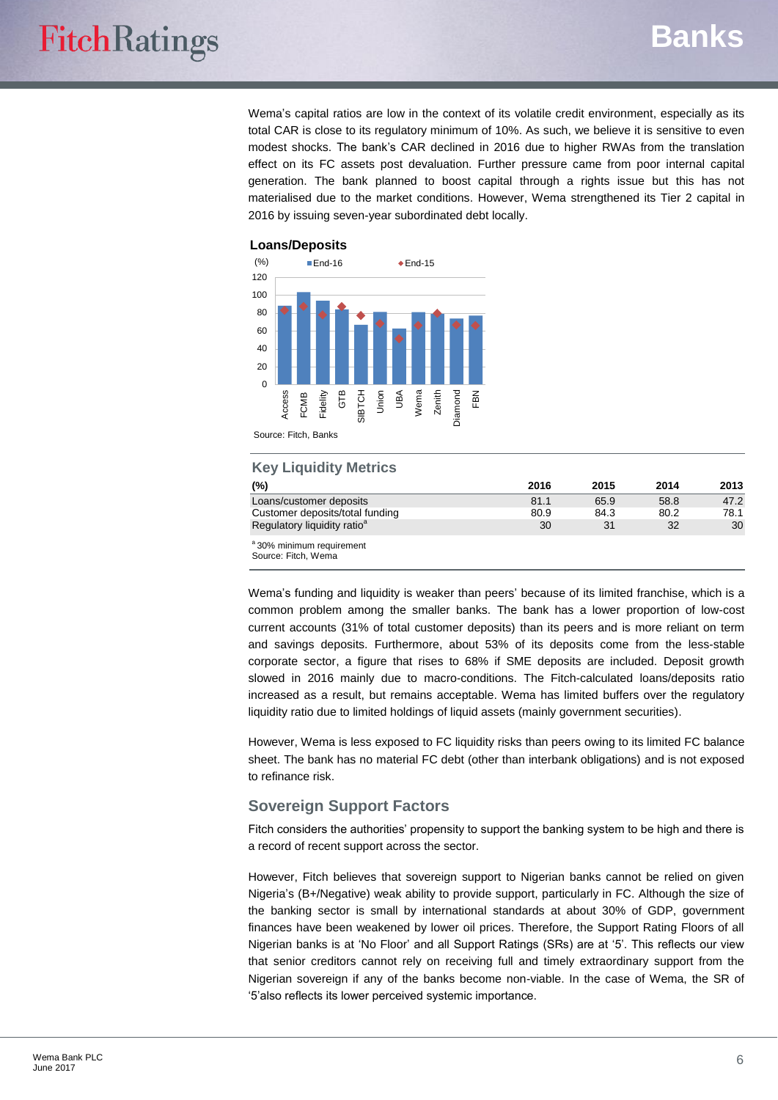### **Banks**

Wema's capital ratios are low in the context of its volatile credit environment, especially as its total CAR is close to its regulatory minimum of 10%. As such, we believe it is sensitive to even modest shocks. The bank's CAR declined in 2016 due to higher RWAs from the translation effect on its FC assets post devaluation. Further pressure came from poor internal capital generation. The bank planned to boost capital through a rights issue but this has not materialised due to the market conditions. However, Wema strengthened its Tier 2 capital in 2016 by issuing seven-year subordinated debt locally.



#### Source: Fitch, Banks

#### **Key Liquidity Metrics**

| (%)                                                        | 2016 | 2015 | 2014 | 2013 |
|------------------------------------------------------------|------|------|------|------|
| Loans/customer deposits                                    | 81.1 | 65.9 | 58.8 | 47.2 |
| Customer deposits/total funding                            | 80.9 | 84.3 | 80.2 | 78.1 |
| Regulatory liquidity ratio <sup>a</sup>                    | 30   | 31   | 32   | 30   |
| <sup>a</sup> 30% minimum requirement<br>Course: Eitch Wame |      |      |      |      |

Source: Fitch, Wema

Wema's funding and liquidity is weaker than peers' because of its limited franchise, which is a common problem among the smaller banks. The bank has a lower proportion of low-cost current accounts (31% of total customer deposits) than its peers and is more reliant on term and savings deposits. Furthermore, about 53% of its deposits come from the less-stable corporate sector, a figure that rises to 68% if SME deposits are included. Deposit growth slowed in 2016 mainly due to macro-conditions. The Fitch-calculated loans/deposits ratio increased as a result, but remains acceptable. Wema has limited buffers over the regulatory liquidity ratio due to limited holdings of liquid assets (mainly government securities).

However, Wema is less exposed to FC liquidity risks than peers owing to its limited FC balance sheet. The bank has no material FC debt (other than interbank obligations) and is not exposed to refinance risk.

#### **Sovereign Support Factors**

Fitch considers the authorities' propensity to support the banking system to be high and there is a record of recent support across the sector.

However, Fitch believes that sovereign support to Nigerian banks cannot be relied on given Nigeria's (B+/Negative) weak ability to provide support, particularly in FC. Although the size of the banking sector is small by international standards at about 30% of GDP, government finances have been weakened by lower oil prices. Therefore, the Support Rating Floors of all Nigerian banks is at 'No Floor' and all Support Ratings (SRs) are at '5'. This reflects our view that senior creditors cannot rely on receiving full and timely extraordinary support from the Nigerian sovereign if any of the banks become non-viable. In the case of Wema, the SR of '5'also reflects its lower perceived systemic importance.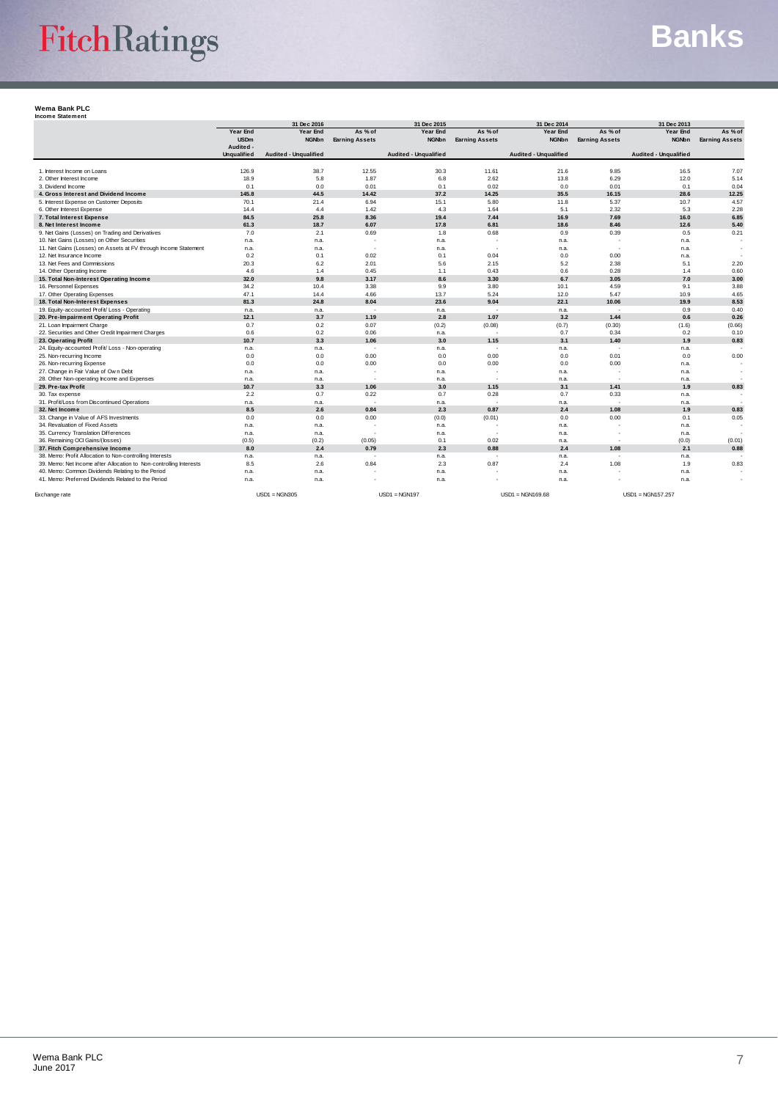# FitchRatings

## **Banks**

#### **Wema Bank PLC Income Statement**

| <b>HIGAING AREA HIGH</b>                                           |                                 | 31 Dec 2016                  |                       | 31 Dec 2015           |                          | 31 Dec 2014                  |                          | 31 Dec 2013                  |                       |
|--------------------------------------------------------------------|---------------------------------|------------------------------|-----------------------|-----------------------|--------------------------|------------------------------|--------------------------|------------------------------|-----------------------|
|                                                                    | Year End                        | Year End                     | As % of               | Year End              | As % of                  | Year End                     | As % of                  | Year End                     | As % of               |
|                                                                    | <b>USDm</b>                     | <b>NGNbn</b>                 | <b>Earning Assets</b> | <b>NGNbn</b>          | <b>Earning Assets</b>    | <b>NGNbn</b>                 | <b>Earning Assets</b>    | <b>NGNbn</b>                 | <b>Earning Assets</b> |
|                                                                    | Audited -<br><b>Unqualified</b> | <b>Audited - Unqualified</b> |                       | Audited - Unqualified |                          | <b>Audited - Unqualified</b> |                          | <b>Audited - Unqualified</b> |                       |
| 1. Interest Income on Loans                                        |                                 |                              |                       |                       |                          |                              |                          |                              |                       |
| 2. Other Interest Income                                           | 126.9<br>18.9                   | 38.7<br>5.8                  | 12.55<br>1.87         | 30.3<br>6.8           | 11.61<br>2.62            | 21.6<br>13.8                 | 9.85<br>6.29             | 16.5<br>12.0                 | 7.07<br>5.14          |
| 3. Dividend Income                                                 | 0.1                             | 0.0                          | 0.01                  | 0.1                   | 0.02                     | 0.0                          | 0.01                     | 0.1                          | 0.04                  |
| 4. Gross Interest and Dividend Income                              | 145.8                           | 44.5                         | 14.42                 | 37.2                  | 14.25                    | 35.5                         | 16.15                    | 28.6                         | 12.25                 |
| 5. Interest Expense on Customer Deposits                           | 70.1                            | 21.4                         | 6.94                  | 15.1                  | 5.80                     | 11.8                         | 5.37                     | 10.7                         | 4.57                  |
| 6. Other Interest Expense                                          | 14.4                            | 4.4                          | 1.42                  | 4.3                   | 1.64                     | 5.1                          | 2.32                     | 5.3                          | 2.28                  |
| 7. Total Interest Expense                                          | 84.5                            | 25.8                         | 8.36                  | 19.4                  | 7.44                     | 16.9                         | 7.69                     | 16.0                         | 6.85                  |
| 8. Net Interest Income                                             | 61.3                            | 18.7                         | 6.07                  | 17.8                  | 6.81                     | 18.6                         | 8.46                     | 12.6                         | 5.40                  |
| 9. Net Gains (Losses) on Trading and Derivatives                   | 7.0                             | 2.1                          | 0.69                  | 1.8                   | 0.68                     | 0.9                          | 0.39                     | 0.5                          | 0.21                  |
| 10. Net Gains (Losses) on Other Securities                         | n.a.                            | n.a.                         |                       | n.a.                  | $\overline{\phantom{a}}$ | n.a.                         |                          | n.a.                         |                       |
| 11. Net Gains (Losses) on Assets at FV through Income Statement    | n.a.                            | n.a.                         | $\ddot{\phantom{1}}$  | n.a.                  | ٠.                       | n.a.                         | ٠.                       | n.a.                         | $\sim$                |
| 12. Net Insurance Income                                           | 0.2                             | 0.1                          | 0.02                  | 0.1                   | 0.04                     | 0.0                          | 0.00                     | n.a.                         |                       |
| 13. Net Fees and Commissions                                       | 20.3                            | 6.2                          | 2.01                  | 5.6                   | 2.15                     | 5.2                          | 2.38                     | 5.1                          | 2.20                  |
| 14. Other Operating Income                                         | 4.6                             | 1.4                          | 0.45                  | 1.1                   | 0.43                     | 0.6                          | 0.28                     | 1.4                          | 0.60                  |
| 15. Total Non-Interest Operating Income                            | 32.0                            | 9.8                          | 3.17                  | 8.6                   | 3.30                     | 6.7                          | 3.05                     | 7.0                          | 3.00                  |
| 16. Personnel Expenses                                             | 34.2                            | 10.4                         | 3.38                  | 9.9                   | 3.80                     | 10.1                         | 4.59                     | 9.1                          | 3.88                  |
| 17. Other Operating Expenses                                       | 47.1                            | 14.4                         | 4.66                  | 13.7                  | 5.24                     | 12.0                         | 5.47                     | 10.9                         | 4.65                  |
| 18. Total Non-Interest Expenses                                    | 81.3                            | 24.8                         | 8.04                  | 23.6                  | 9.04                     | 22.1                         | 10.06                    | 19.9                         | 8.53                  |
| 19. Equity-accounted Profit/ Loss - Operating                      | n.a.                            | n.a.                         |                       | n.a.                  | $\sim$                   | n.a.                         | $\overline{\phantom{a}}$ | 0.9                          | 0.40                  |
| 20. Pre-Impairment Operating Profit                                | 12.1                            | 3.7                          | 1.19                  | 2.8                   | 1.07                     | 3.2                          | 1.44                     | 0.6                          | 0.26                  |
| 21. Loan Impairment Charge                                         | 0.7                             | 0.2                          | 0.07                  | (0.2)                 | (0.08)                   | (0.7)                        | (0.30)                   | (1.6)                        | (0.66)                |
| 22. Securities and Other Credit Impairment Charges                 | 0.6                             | 0.2                          | 0.06                  | n.a.                  | $\overline{\phantom{a}}$ | 0.7                          | 0.34                     | 0.2                          | 0.10                  |
| 23. Operating Profit                                               | 10.7                            | 3.3                          | 1.06                  | 3.0                   | 1.15                     | 3.1                          | 1.40                     | 1.9                          | 0.83                  |
| 24. Equity-accounted Profit/ Loss - Non-operating                  | n.a.                            | n.a.                         | ÷                     | n.a.                  | $\overline{\phantom{a}}$ | n.a.                         | ٠                        | n.a.                         |                       |
| 25. Non-recurring Income                                           | 0.0                             | 0.0                          | 0.00                  | 0.0                   | 0.00                     | 0.0                          | 0.01                     | 0.0                          | 0.00                  |
| 26. Non-recurring Expense                                          | 0.0                             | 0.0                          | 0.00                  | 0.0                   | 0.00                     | 0.0                          | 0.00                     | n.a.                         | $\sim$                |
| 27. Change in Fair Value of Own Debt                               | n.a.                            | n.a.                         |                       | n.a.                  | ٠.                       | n.a.                         | ×                        | n.a.                         |                       |
| 28. Other Non-operating Income and Expenses                        | n.a.                            | n.a.                         | $\sim$                | n.a.                  | $\sim$                   | n.a.                         | $\sim$                   | n.a.                         |                       |
| 29. Pre-tax Profit                                                 | 10.7                            | 3.3                          | 1.06                  | 3.0                   | 1.15                     | 3.1                          | 1.41                     | 1.9                          | 0.83                  |
| 30. Tax expense                                                    | 2.2                             | 0.7                          | 0.22                  | 0.7                   | 0.28                     | 0.7                          | 0.33                     | n.a.                         |                       |
| 31. Profit/Loss from Discontinued Operations                       | n.a.                            | n.a.                         |                       | n.a.                  |                          | n.a.                         | ٠                        | n.a.                         |                       |
| 32. Net Income                                                     | 8.5                             | 2.6                          | 0.84                  | 2.3                   | 0.87                     | 2.4                          | 1.08                     | 1.9                          | 0.83                  |
| 33. Change in Value of AFS Investments                             | 0.0                             | 0.0                          | 0.00                  | (0.0)                 | (0.01)                   | 0.0                          | 0.00                     | 0.1                          | 0.05                  |
| 34. Revaluation of Fixed Assets                                    | n.a.                            | n.a.                         |                       | n.a.                  |                          | n.a.                         |                          | n.a.                         |                       |
| 35. Currency Translation Differences                               | n.a.                            | n.a.                         |                       | n.a.                  |                          | n.a.                         |                          | n.a.                         |                       |
| 36. Remaining OCI Gains/(losses)                                   | (0.5)                           | (0.2)                        | (0.05)                | 0.1                   | 0.02                     | n.a.                         | ٠                        | (0.0)                        | (0.01)                |
| 37. Fitch Comprehensive Income                                     | 8.0                             | 2.4                          | 0.79                  | 2.3                   | 0.88                     | 2.4                          | 1.08                     | 2.1                          | 0.88                  |
| 38. Memo: Profit Allocation to Non-controlling Interests           | n.a.                            | n.a.                         | ÷                     | n.a.                  | ÷                        | n.a.                         | ×.                       | n.a.                         |                       |
| 39. Memo: Net Income after Allocation to Non-controlling Interests | 8.5                             | 2.6                          | 0.84                  | 2.3                   | 0.87                     | 2.4                          | 1.08                     | 1.9                          | 0.83                  |
| 40. Memo: Common Dividends Relating to the Period                  | n.a.                            | n.a.                         |                       | n.a.                  |                          | n.a.                         |                          | n.a.                         |                       |
| 41. Memo: Preferred Dividends Related to the Period                | n.a.                            | n.a.                         |                       | n.a.                  |                          | n.a.                         |                          | n.a.                         |                       |
| Exchange rate                                                      |                                 | $USD1 = NGN305$              |                       | $USD1 = NGN197$       |                          | $USD1 = NGN169.68$           |                          | $USD1 = NGN157.257$          |                       |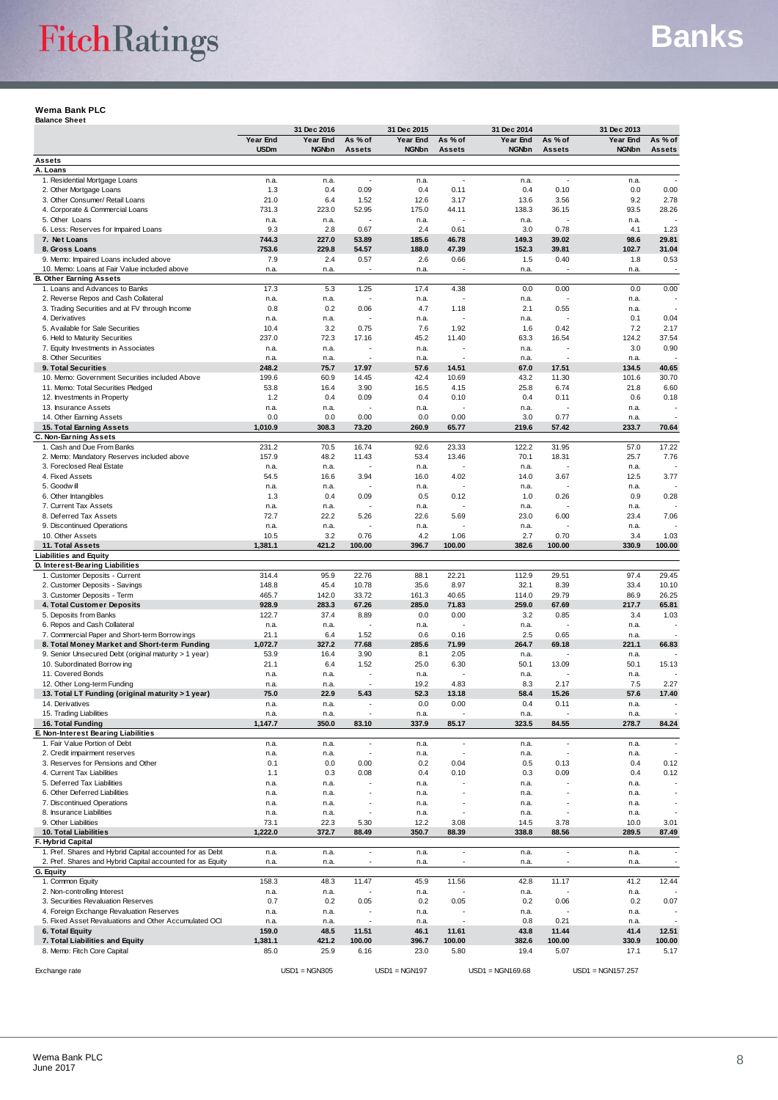#### **Wema Bank PLC Balance Sheet**

|                                                                                                                        | 31 Dec 2016             |                          |                                  | 31 Dec 2015              |                                                      | 31 Dec 2014              |                          |                          |                          |
|------------------------------------------------------------------------------------------------------------------------|-------------------------|--------------------------|----------------------------------|--------------------------|------------------------------------------------------|--------------------------|--------------------------|--------------------------|--------------------------|
|                                                                                                                        | Year End<br><b>USDm</b> | Year End<br><b>NGNbn</b> | As % of<br><b>Assets</b>         | Year End<br><b>NGNbn</b> | As % of<br><b>Assets</b>                             | Year End<br><b>NGNbn</b> | As % of<br><b>Assets</b> | Year End<br><b>NGNbn</b> | As % of<br><b>Assets</b> |
| Assets                                                                                                                 |                         |                          |                                  |                          |                                                      |                          |                          |                          |                          |
| A. Loans                                                                                                               |                         |                          |                                  |                          |                                                      |                          |                          |                          |                          |
| 1. Residential Mortgage Loans<br>2. Other Mortgage Loans                                                               | n.a.<br>1.3             | n.a.<br>0.4              | $\overline{\phantom{a}}$<br>0.09 | n.a.<br>0.4              | $\sim$<br>0.11                                       | n.a.<br>0.4              | 0.10                     | n.a.<br>0.0              | 0.00                     |
| 3. Other Consumer/ Retail Loans                                                                                        | 21.0                    | 6.4                      | 1.52                             | 12.6                     | 3.17                                                 | 13.6                     | 3.56                     | 9.2                      | 2.78                     |
| 4. Corporate & Commercial Loans                                                                                        | 731.3                   | 223.0                    | 52.95                            | 175.0                    | 44.11                                                | 138.3                    | 36.15                    | 93.5                     | 28.26                    |
| 5. Other Loans                                                                                                         | n.a.                    | n.a.                     |                                  | n.a.                     |                                                      | n.a.                     |                          | n.a.                     |                          |
| 6. Less: Reserves for Impaired Loans<br>7. Net Loans                                                                   | 9.3<br>744.3            | 2.8<br>227.0             | 0.67<br>53.89                    | 2.4<br>185.6             | 0.61<br>46.78                                        | 3.0<br>149.3             | 0.78<br>39.02            | 4.1<br>98.6              | 1.23<br>29.81            |
| 8. Gross Loans                                                                                                         | 753.6                   | 229.8                    | 54.57                            | 188.0                    | 47.39                                                | 152.3                    | 39.81                    | 102.7                    | 31.04                    |
| 9. Memo: Impaired Loans included above                                                                                 | 7.9                     | 2.4                      | 0.57                             | 2.6                      | 0.66                                                 | 1.5                      | 0.40                     | 1.8                      | 0.53                     |
| 10. Memo: Loans at Fair Value included above<br><b>B. Other Earning Assets</b>                                         | n.a.                    | n.a.                     |                                  | n.a.                     |                                                      | n.a.                     |                          | n.a.                     |                          |
| 1. Loans and Advances to Banks                                                                                         | 17.3                    | 5.3                      | 1.25                             | 17.4                     | 4.38                                                 | 0.0                      | 0.00                     | 0.0                      | 0.00                     |
| 2. Reverse Repos and Cash Collateral                                                                                   | n.a.                    | n.a.                     |                                  | n.a.                     |                                                      | n.a.                     |                          | n.a.                     |                          |
| 3. Trading Securities and at FV through Income                                                                         | 0.8                     | 0.2                      | 0.06                             | 4.7                      | 1.18                                                 | 2.1                      | 0.55                     | n.a.                     |                          |
| 4. Derivatives<br>5. Available for Sale Securities                                                                     | n.a.<br>10.4            | n.a.<br>3.2              | 0.75                             | n.a.<br>7.6              | 1.92                                                 | n.a.<br>1.6              | 0.42                     | 0.1<br>7.2               | 0.04<br>2.17             |
| 6. Held to Maturity Securities                                                                                         | 237.0                   | 72.3                     | 17.16                            | 45.2                     | 11.40                                                | 63.3                     | 16.54                    | 124.2                    | 37.54                    |
| 7. Equity Investments in Associates                                                                                    | n.a.                    | n.a.                     |                                  | n.a.                     |                                                      | n.a.                     |                          | 3.0                      | 0.90                     |
| 8. Other Securities                                                                                                    | n.a.                    | n.a.                     | ÷.                               | n.a.                     | ÷,                                                   | n.a.                     |                          | n.a.                     |                          |
| 9. Total Securities                                                                                                    | 248.2                   | 75.7                     | 17.97                            | 57.6                     | 14.51                                                | 67.0                     | 17.51                    | 134.5                    | 40.65                    |
| 10. Memo: Government Securities included Above<br>11. Memo: Total Securities Pledged                                   | 199.6<br>53.8           | 60.9<br>16.4             | 14.45<br>3.90                    | 42.4<br>16.5             | 10.69<br>4.15                                        | 43.2<br>25.8             | 11.30<br>6.74            | 101.6<br>21.8            | 30.70<br>6.60            |
| 12. Investments in Property                                                                                            | 1.2                     | 0.4                      | 0.09                             | 0.4                      | 0.10                                                 | 0.4                      | 0.11                     | 0.6                      | 0.18                     |
| 13. Insurance Assets                                                                                                   | n.a.                    | n.a.                     |                                  | n.a.                     |                                                      | n.a.                     |                          | n.a.                     |                          |
| 14. Other Earning Assets                                                                                               | 0.0                     | 0.0                      | 0.00                             | 0.0                      | 0.00                                                 | 3.0                      | 0.77                     | n.a.                     |                          |
| 15. Total Earning Assets<br>C. Non-Earning Assets                                                                      | 1,010.9                 | 308.3                    | 73.20                            | 260.9                    | 65.77                                                | 219.6                    | 57.42                    | 233.7                    | 70.64                    |
| 1. Cash and Due From Banks                                                                                             | 231.2                   | 70.5                     | 16.74                            | 92.6                     | 23.33                                                | 122.2                    | 31.95                    | 57.0                     | 17.22                    |
| 2. Memo: Mandatory Reserves included above                                                                             | 157.9                   | 48.2                     | 11.43                            | 53.4                     | 13.46                                                | 70.1                     | 18.31                    | 25.7                     | 7.76                     |
| 3. Foreclosed Real Estate                                                                                              | n.a.                    | n.a.                     |                                  | n.a.                     |                                                      | n.a.                     |                          | n.a.                     |                          |
| 4. Fixed Assets                                                                                                        | 54.5                    | 16.6                     | 3.94                             | 16.0                     | 4.02                                                 | 14.0                     | 3.67                     | 12.5                     | 3.77                     |
| 5. Goodwill<br>6. Other Intangibles                                                                                    | n.a.<br>1.3             | n.a.<br>0.4              | 0.09                             | n.a.<br>0.5              | 0.12                                                 | n.a.<br>1.0              | 0.26                     | n.a.<br>0.9              | 0.28                     |
| 7. Current Tax Assets                                                                                                  | n.a.                    | n.a.                     |                                  | n.a.                     |                                                      | n.a.                     |                          | n.a.                     |                          |
| 8. Deferred Tax Assets                                                                                                 | 72.7                    | 22.2                     | 5.26                             | 22.6                     | 5.69                                                 | 23.0                     | 6.00                     | 23.4                     | 7.06                     |
| 9. Discontinued Operations                                                                                             | n.a.                    | n.a.                     |                                  | n.a.                     |                                                      | n.a.                     |                          | n.a.                     |                          |
| 10. Other Assets<br>11. Total Assets                                                                                   | 10.5<br>1,381.1         | 3.2<br>421.2             | 0.76<br>100.00                   | 4.2<br>396.7             | 1.06<br>100.00                                       | 2.7<br>382.6             | 0.70<br>100.00           | 3.4<br>330.9             | 1.03<br>100.00           |
| <b>Liabilities and Equity</b>                                                                                          |                         |                          |                                  |                          |                                                      |                          |                          |                          |                          |
| D. Interest-Bearing Liabilities                                                                                        |                         |                          |                                  |                          |                                                      |                          |                          |                          |                          |
| 1. Customer Deposits - Current                                                                                         | 314.4                   | 95.9                     | 22.76                            | 88.1                     | 22.21                                                | 112.9                    | 29.51                    | 97.4                     | 29.45                    |
| 2. Customer Deposits - Savings                                                                                         | 148.8<br>465.7          | 45.4                     | 10.78                            | 35.6                     | 8.97                                                 | 32.1                     | 8.39<br>29.79            | 33.4<br>86.9             | 10.10<br>26.25           |
| 3. Customer Deposits - Term<br>4. Total Customer Deposits                                                              | 928.9                   | 142.0<br>283.3           | 33.72<br>67.26                   | 161.3<br>285.0           | 40.65<br>71.83                                       | 114.0<br>259.0           | 67.69                    | 217.7                    | 65.81                    |
| 5. Deposits from Banks                                                                                                 | 122.7                   | 37.4                     | 8.89                             | 0.0                      | 0.00                                                 | 3.2                      | 0.85                     | 3.4                      | 1.03                     |
| 6. Repos and Cash Collateral                                                                                           | n.a.                    | n.a.                     |                                  | n.a.                     |                                                      | n.a.                     |                          | n.a.                     |                          |
| 7. Commercial Paper and Short-term Borrow ings                                                                         | 21.1                    | 6.4                      | 1.52                             | 0.6                      | 0.16                                                 | 2.5                      | 0.65                     | n.a.                     |                          |
| 8. Total Money Market and Short-term Funding<br>9. Senior Unsecured Debt (original maturity > 1 year)                  | 1,072.7<br>53.9         | 327.2<br>16.4            | 77.68<br>3.90                    | 285.6<br>8.1             | 71.99<br>2.05                                        | 264.7<br>n.a.            | 69.18                    | 221.1<br>n.a.            | 66.83                    |
| 10. Subordinated Borrow ing                                                                                            | 21.1                    | 6.4                      | 1.52                             | 25.0                     | 6.30                                                 | 50.1                     | 13.09                    | 50.1                     | 15.13                    |
| 11. Covered Bonds                                                                                                      | n.a.                    | n.a.                     | ä,                               | n.a.                     |                                                      | n.a.                     |                          | n.a.                     |                          |
| 12. Other Long-term Funding                                                                                            | n.a.                    | n.a.                     |                                  | 19.2                     | 4.83                                                 | 8.3                      | 2.17                     | 7.5                      | 2.27                     |
| 13. Total LT Funding (original maturity > 1 year)<br>14. Derivatives                                                   | 75.0<br>n.a.            | 22.9<br>n.a.             | 5.43<br>٠                        | 52.3<br>0.0              | 13.18<br>0.00                                        | 58.4<br>0.4              | 15.26<br>0.11            | 57.6<br>n.a.             | 17.40                    |
| 15. Trading Liabilities                                                                                                | n.a.                    | n.a.                     | $\sim$                           | n.a.                     |                                                      | n.a.                     |                          | n.a.                     |                          |
| 16. Total Funding                                                                                                      | 1,147.7                 | 350.0                    | 83.10                            | 337.9                    | 85.17                                                | 323.5                    | 84.55                    | 278.7                    | 84.24                    |
| E. Non-Interest Bearing Liabilities                                                                                    |                         |                          |                                  |                          |                                                      |                          |                          |                          |                          |
| 1. Fair Value Portion of Debt<br>2. Credit impairment reserves                                                         | n.a.<br>n.a.            | n.a.<br>n.a.             | ٠<br>$\sim$                      | n.a.<br>n.a.             | $\sim$<br>$\overline{\phantom{a}}$                   | n.a.<br>n.a.             | $\sim$<br>$\sim$         | n.a.<br>n.a.             |                          |
| 3. Reserves for Pensions and Other                                                                                     | 0.1                     | 0.0                      | 0.00                             | 0.2                      | 0.04                                                 | 0.5                      | 0.13                     | 0.4                      | 0.12                     |
| 4. Current Tax Liabilities                                                                                             | 1.1                     | 0.3                      | 0.08                             | 0.4                      | 0.10                                                 | 0.3                      | 0.09                     | 0.4                      | 0.12                     |
| 5. Deferred Tax Liabilities                                                                                            | n.a.                    | n.a.                     |                                  | n.a.                     |                                                      | n.a.                     |                          | n.a.                     |                          |
| 6. Other Deferred Liabilities                                                                                          | n.a.                    | n.a.                     | ×                                | n.a.                     |                                                      | n.a.                     |                          | n.a.                     |                          |
| 7. Discontinued Operations<br>8. Insurance Liabilities                                                                 | n.a.<br>n.a.            | n.a.<br>n.a.             |                                  | n.a.<br>n.a.             |                                                      | n.a.<br>n.a.             |                          | n.a.<br>n.a.             |                          |
| 9. Other Liabilities                                                                                                   | 73.1                    | 22.3                     | 5.30                             | 12.2                     | 3.08                                                 | 14.5                     | 3.78                     | 10.0                     | 3.01                     |
| 10. Total Liabilities                                                                                                  | 1,222.0                 | 372.7                    | 88.49                            | 350.7                    | 88.39                                                | 338.8                    | 88.56                    | 289.5                    | 87.49                    |
| F. Hybrid Capital                                                                                                      |                         |                          |                                  |                          |                                                      |                          |                          |                          |                          |
| 1. Pref. Shares and Hybrid Capital accounted for as Debt<br>2. Pref. Shares and Hybrid Capital accounted for as Equity | n.a.<br>n.a.            | n.a.<br>n.a.             | $\overline{\phantom{a}}$<br>÷    | n.a.<br>n.a.             | $\overline{\phantom{a}}$<br>$\overline{\phantom{a}}$ | n.a.<br>n.a.             | $\overline{\phantom{a}}$ | n.a.<br>n.a.             |                          |
| G. Equity                                                                                                              |                         |                          |                                  |                          |                                                      |                          |                          |                          |                          |
| 1. Common Equity                                                                                                       | 158.3                   | 48.3                     | 11.47                            | 45.9                     | 11.56                                                | 42.8                     | 11.17                    | 41.2                     | 12.44                    |
| 2. Non-controlling Interest                                                                                            | n.a.                    | n.a.                     |                                  | n.a.                     |                                                      | n.a.                     |                          | n.a.                     |                          |
| 3. Securities Revaluation Reserves<br>4. Foreign Exchange Revaluation Reserves                                         | 0.7<br>n.a.             | 0.2<br>n.a.              | 0.05                             | 0.2<br>n.a.              | 0.05                                                 | 0.2<br>n.a.              | 0.06                     | 0.2<br>n.a.              | 0.07                     |
| 5. Fixed Asset Revaluations and Other Accumulated OCI                                                                  | n.a.                    | n.a.                     |                                  | n.a.                     | $\sim$                                               | 0.8                      | 0.21                     | n.a.                     |                          |
| 6. Total Equity                                                                                                        | 159.0                   | 48.5                     | 11.51                            | 46.1                     | 11.61                                                | 43.8                     | 11.44                    | 41.4                     | 12.51                    |
| 7. Total Liabilities and Equity                                                                                        | 1,381.1                 | 421.2                    | 100.00                           | 396.7                    | 100.00                                               | 382.6                    | 100.00                   | 330.9                    | 100.00                   |
| 8. Memo: Fitch Core Capital                                                                                            | 85.0                    | 25.9                     | 6.16                             | 23.0                     | 5.80                                                 | 19.4                     | 5.07                     | 17.1                     | 5.17                     |
| Exchange rate                                                                                                          |                         | $USD1 = NGN305$          |                                  | $USD1 = NGN197$          |                                                      | $USD1 = NGN169.68$       |                          | $USD1 = NGN157.257$      |                          |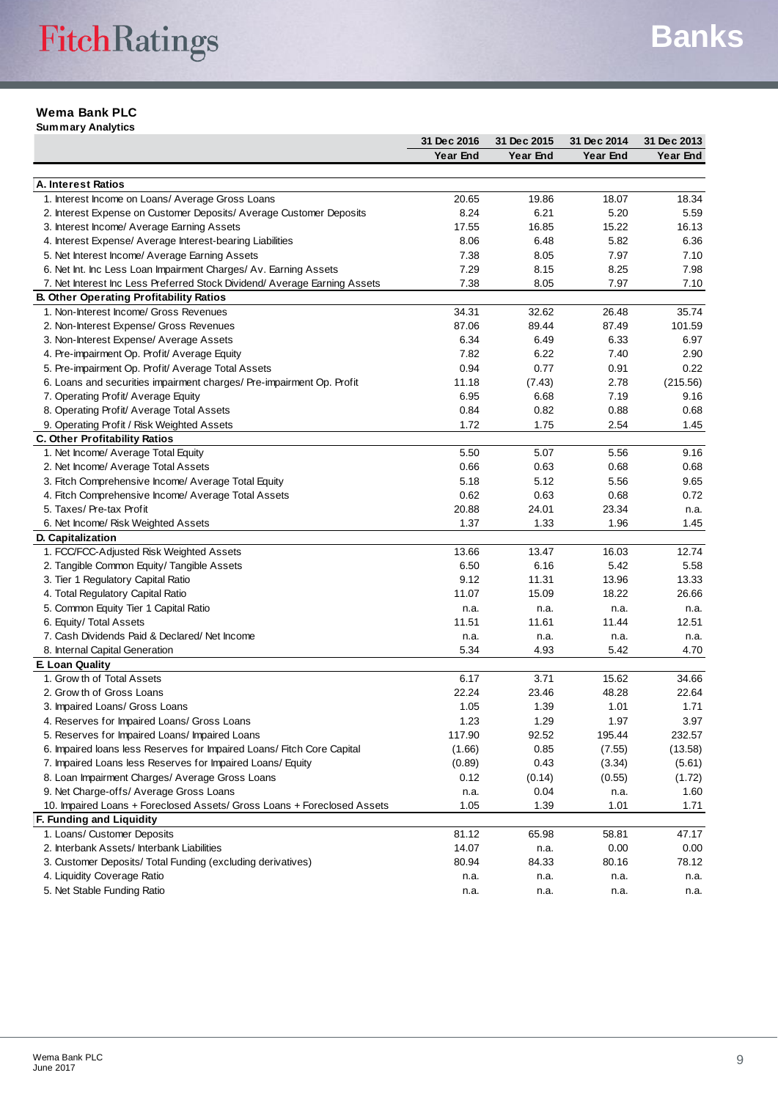#### **Wema Bank PLC**

**Summary Analytics**

|                                                                           | 31 Dec 2016 | 31 Dec 2015 | 31 Dec 2014 | 31 Dec 2013 |
|---------------------------------------------------------------------------|-------------|-------------|-------------|-------------|
|                                                                           | Year End    | Year End    | Year End    | Year End    |
|                                                                           |             |             |             |             |
| A. Interest Ratios                                                        |             |             |             |             |
| 1. Interest Income on Loans/ Average Gross Loans                          | 20.65       | 19.86       | 18.07       | 18.34       |
| 2. Interest Expense on Customer Deposits/ Average Customer Deposits       | 8.24        | 6.21        | 5.20        | 5.59        |
| 3. Interest Income/ Average Earning Assets                                | 17.55       | 16.85       | 15.22       | 16.13       |
| 4. Interest Expense/ Average Interest-bearing Liabilities                 | 8.06        | 6.48        | 5.82        | 6.36        |
| 5. Net Interest Income/ Average Earning Assets                            | 7.38        | 8.05        | 7.97        | 7.10        |
| 6. Net Int. Inc Less Loan Impairment Charges/ Av. Earning Assets          | 7.29        | 8.15        | 8.25        | 7.98        |
| 7. Net Interest Inc Less Preferred Stock Dividend/ Average Earning Assets | 7.38        | 8.05        | 7.97        | 7.10        |
| <b>B. Other Operating Profitability Ratios</b>                            |             |             |             |             |
| 1. Non-Interest Income/ Gross Revenues                                    | 34.31       | 32.62       | 26.48       | 35.74       |
| 2. Non-Interest Expense/ Gross Revenues                                   | 87.06       | 89.44       | 87.49       | 101.59      |
| 3. Non-Interest Expense/ Average Assets                                   | 6.34        | 6.49        | 6.33        | 6.97        |
| 4. Pre-impairment Op. Profit/ Average Equity                              | 7.82        | 6.22        | 7.40        | 2.90        |
| 5. Pre-impairment Op. Profit/ Average Total Assets                        | 0.94        | 0.77        | 0.91        | 0.22        |
| 6. Loans and securities impairment charges/ Pre-impairment Op. Profit     | 11.18       | (7.43)      | 2.78        | (215.56)    |
| 7. Operating Profit/ Average Equity                                       | 6.95        | 6.68        | 7.19        | 9.16        |
| 8. Operating Profit/ Average Total Assets                                 | 0.84        | 0.82        | 0.88        | 0.68        |
| 9. Operating Profit / Risk Weighted Assets                                | 1.72        | 1.75        | 2.54        | 1.45        |
| <b>C. Other Profitability Ratios</b>                                      |             |             |             |             |
| 1. Net Income/ Average Total Equity                                       | 5.50        | 5.07        | 5.56        | 9.16        |
| 2. Net Income/ Average Total Assets                                       | 0.66        | 0.63        | 0.68        | 0.68        |
| 3. Fitch Comprehensive Income/ Average Total Equity                       | 5.18        | 5.12        | 5.56        | 9.65        |
| 4. Fitch Comprehensive Income/ Average Total Assets                       | 0.62        | 0.63        | 0.68        | 0.72        |
| 5. Taxes/ Pre-tax Profit                                                  | 20.88       | 24.01       | 23.34       | n.a.        |
| 6. Net Income/ Risk Weighted Assets                                       | 1.37        | 1.33        | 1.96        | 1.45        |
| D. Capitalization                                                         |             |             |             |             |
| 1. FCC/FCC-Adjusted Risk Weighted Assets                                  | 13.66       | 13.47       | 16.03       | 12.74       |
| 2. Tangible Common Equity/ Tangible Assets                                | 6.50        | 6.16        | 5.42        | 5.58        |
| 3. Tier 1 Regulatory Capital Ratio                                        | 9.12        | 11.31       | 13.96       | 13.33       |
| 4. Total Regulatory Capital Ratio                                         | 11.07       | 15.09       | 18.22       | 26.66       |
| 5. Common Equity Tier 1 Capital Ratio                                     | n.a.        | n.a.        | n.a.        | n.a.        |
| 6. Equity/ Total Assets                                                   | 11.51       | 11.61       | 11.44       | 12.51       |
| 7. Cash Dividends Paid & Declared/Net Income                              | n.a.        | n.a.        | n.a.        | n.a.        |
| 8. Internal Capital Generation                                            | 5.34        | 4.93        | 5.42        | 4.70        |
| E. Loan Quality                                                           |             |             |             |             |
| 1. Grow th of Total Assets                                                | 6.17        | 3.71        | 15.62       | 34.66       |
| 2. Grow th of Gross Loans                                                 | 22.24       | 23.46       | 48.28       | 22.64       |
| 3. Impaired Loans/ Gross Loans                                            | 1.05        | 1.39        | 1.01        | 1.71        |
| 4. Reserves for Impaired Loans/ Gross Loans                               | 1.23        | 1.29        | 1.97        | 3.97        |
| 5. Reserves for Impaired Loans/ Impaired Loans                            | 117.90      | 92.52       | 195.44      | 232.57      |
| 6. Impaired loans less Reserves for Impaired Loans/ Fitch Core Capital    | (1.66)      | 0.85        | (7.55)      | (13.58)     |
| 7. Impaired Loans less Reserves for Impaired Loans/ Equity                | (0.89)      | 0.43        | (3.34)      | (5.61)      |
| 8. Loan Impairment Charges/ Average Gross Loans                           | 0.12        | (0.14)      | (0.55)      | (1.72)      |
| 9. Net Charge-offs/ Average Gross Loans                                   | n.a.        | 0.04        | n.a.        | 1.60        |
| 10. Impaired Loans + Foreclosed Assets/ Gross Loans + Foreclosed Assets   | 1.05        | 1.39        | 1.01        | 1.71        |
| F. Funding and Liquidity                                                  |             |             |             |             |
| 1. Loans/ Customer Deposits                                               | 81.12       | 65.98       | 58.81       | 47.17       |
| 2. Interbank Assets/ Interbank Liabilities                                | 14.07       | n.a.        | 0.00        | 0.00        |
| 3. Customer Deposits/ Total Funding (excluding derivatives)               | 80.94       | 84.33       | 80.16       | 78.12       |
| 4. Liquidity Coverage Ratio                                               | n.a.        | n.a.        | n.a.        | n.a.        |
| 5. Net Stable Funding Ratio                                               | n.a.        | n.a.        | n.a.        | n.a.        |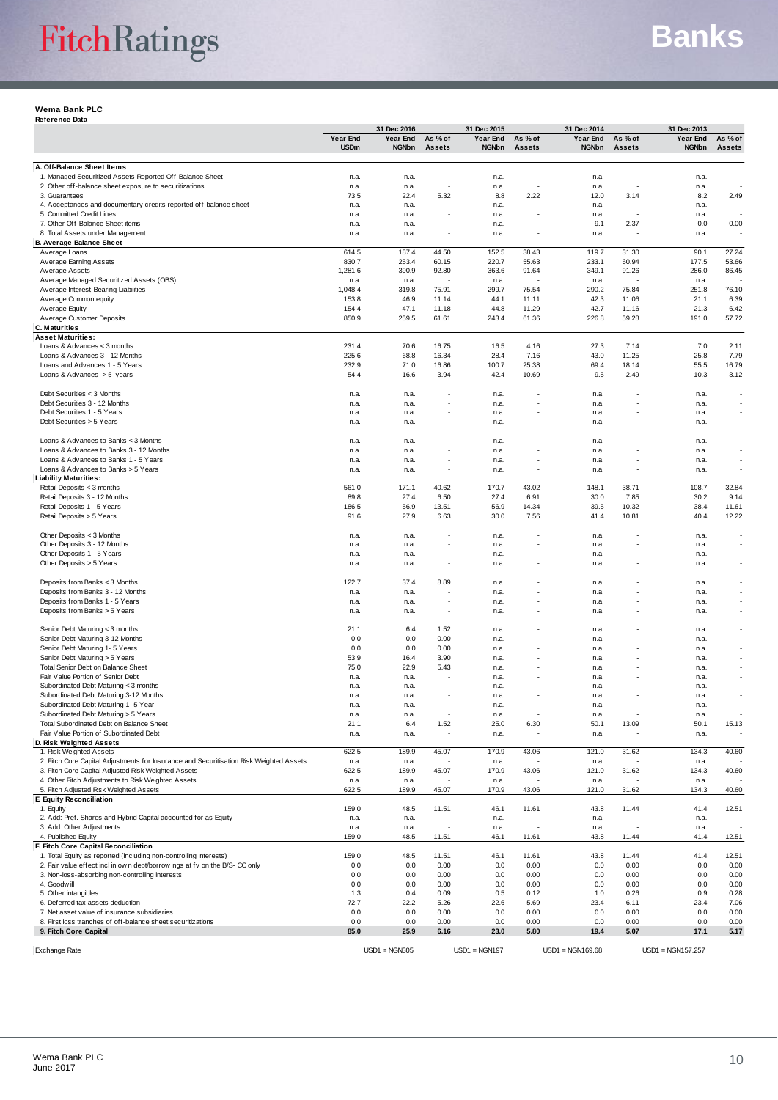# FitchRatings

#### **Wema Bank PLC Reference Data**

|                                                                                                             |                | 31 Dec 2016     |               | 31 Dec 2015     |                | 31 Dec 2014        |                | 31 Dec 2013         |                |
|-------------------------------------------------------------------------------------------------------------|----------------|-----------------|---------------|-----------------|----------------|--------------------|----------------|---------------------|----------------|
|                                                                                                             | Year End       | Year End        | As % of       | Year End        | As % of        | Year End           | As % of        | Year End            | As % of        |
|                                                                                                             | <b>USDm</b>    | <b>NGNbn</b>    | <b>Assets</b> | NGNbn           | <b>Assets</b>  | <b>NGNbn</b>       | <b>Assets</b>  | <b>NGNbn</b>        | <b>Assets</b>  |
| A. Off-Balance Sheet Items                                                                                  |                |                 |               |                 |                |                    |                |                     |                |
| 1. Managed Securitized Assets Reported Off-Balance Sheet                                                    | n.a.           | n.a.            | ٠             | n.a.            |                | n.a.               |                | n.a.                |                |
| 2. Other off-balance sheet exposure to securitizations                                                      | n.a.           | n.a.            | J,            | n.a.            |                | n.a.               |                | n.a.                |                |
| 3. Guarantees<br>4. Acceptances and documentary credits reported off-balance sheet                          | 73.5<br>n.a.   | 22.4<br>n.a.    | 5.32          | 8.8<br>n.a.     | 2.22           | 12.0<br>n.a.       | 3.14           | 8.2<br>n.a.         | 2.49           |
| 5. Committed Credit Lines                                                                                   | n.a.           | n.a.            | ٠             | n.a.            |                | n.a.               |                | n.a.                |                |
| 7. Other Off-Balance Sheet items                                                                            | n.a.           | n.a.            |               | n.a.            |                | 9.1                | 2.37           | 0.0                 | 0.00           |
| 8. Total Assets under Management                                                                            | n.a.           | n.a.            |               | n.a.            |                | n.a.               |                | n.a.                |                |
| <b>B. Average Balance Sheet</b><br>Average Loans                                                            |                | 187.4           | 44.50         |                 |                |                    |                |                     |                |
| Average Earning Assets                                                                                      | 614.5<br>830.7 | 253.4           | 60.15         | 152.5<br>220.7  | 38.43<br>55.63 | 119.7<br>233.1     | 31.30<br>60.94 | 90.1<br>177.5       | 27.24<br>53.66 |
| Average Assets                                                                                              | 1,281.6        | 390.9           | 92.80         | 363.6           | 91.64          | 349.1              | 91.26          | 286.0               | 86.45          |
| Average Managed Securitized Assets (OBS)                                                                    | n.a.           | n.a.            |               | n.a.            |                | n.a.               |                | n.a.                |                |
| Average Interest-Bearing Liabilities                                                                        | 1,048.4        | 319.8           | 75.91         | 299.7           | 75.54          | 290.2              | 75.84          | 251.8               | 76.10          |
| Average Common equity                                                                                       | 153.8          | 46.9            | 11.14         | 44.1            | 11.11          | 42.3               | 11.06          | 21.1                | 6.39           |
| Average Equity                                                                                              | 154.4          | 47.1            | 11.18         | 44.8            | 11.29          | 42.7               | 11.16          | 21.3                | 6.42           |
| Average Customer Deposits<br><b>C. Maturities</b>                                                           | 850.9          | 259.5           | 61.61         | 243.4           | 61.36          | 226.8              | 59.28          | 191.0               | 57.72          |
| <b>Asset Maturities:</b>                                                                                    |                |                 |               |                 |                |                    |                |                     |                |
| Loans & Advances < 3 months                                                                                 | 231.4          | 70.6            | 16.75         | 16.5            | 4.16           | 27.3               | 7.14           | 7.0                 | 2.11           |
| Loans & Advances 3 - 12 Months                                                                              | 225.6          | 68.8            | 16.34         | 28.4            | 7.16           | 43.0               | 11.25          | 25.8                | 7.79           |
| Loans and Advances 1 - 5 Years                                                                              | 232.9          | 71.0            | 16.86         | 100.7           | 25.38          | 69.4               | 18.14          | 55.5                | 16.79          |
| Loans & Advances $>$ 5 years                                                                                | 54.4           | 16.6            | 3.94          | 42.4            | 10.69          | 9.5                | 2.49           | 10.3                | 3.12           |
| Debt Securities < 3 Months                                                                                  | n.a.           | n.a.            |               | n.a.            |                | n.a.               |                | n.a.                | ٠              |
| Debt Securities 3 - 12 Months                                                                               | n.a.           | n.a.            |               | n.a.            |                | n.a.               |                | n.a.                |                |
| Debt Securities 1 - 5 Years                                                                                 | n.a.           | n.a.            |               | n.a.            |                | n.a.               |                | n.a.                |                |
| Debt Securities > 5 Years                                                                                   | n.a.           | n.a.            |               | n.a.            |                | n.a.               |                | n.a.                | ٠              |
|                                                                                                             |                |                 |               |                 |                |                    |                |                     |                |
| Loans & Advances to Banks < 3 Months                                                                        | n.a.           | n.a.            |               | n.a.            |                | n.a.               |                | n.a.                | ٠              |
| Loans & Advances to Banks 3 - 12 Months<br>Loans & Advances to Banks 1 - 5 Years                            | n.a.<br>n.a.   | n.a.<br>n.a.    |               | n.a.<br>n.a.    |                | n.a.<br>n.a.       |                | n.a.<br>n.a.        |                |
| Loans & Advances to Banks > 5 Years                                                                         | n.a.           | n.a.            |               | n.a.            |                | n.a.               |                | n.a.                | ٠              |
| Liability Maturities:                                                                                       |                |                 |               |                 |                |                    |                |                     |                |
| Retail Deposits < 3 months                                                                                  | 561.0          | 171.1           | 40.62         | 170.7           | 43.02          | 148.1              | 38.71          | 108.7               | 32.84          |
| Retail Deposits 3 - 12 Months                                                                               | 89.8           | 27.4            | 6.50          | 27.4            | 6.91           | 30.0               | 7.85           | 30.2                | 9.14           |
| Retail Deposits 1 - 5 Years                                                                                 | 186.5          | 56.9            | 13.51         | 56.9            | 14.34          | 39.5               | 10.32          | 38.4                | 11.61          |
| Retail Deposits > 5 Years                                                                                   | 91.6           | 27.9            | 6.63          | 30.0            | 7.56           | 41.4               | 10.81          | 40.4                | 12.22          |
| Other Deposits < 3 Months                                                                                   | n.a.           | n.a.            |               | n.a.            |                | n.a.               |                | n.a.                | ٠              |
| Other Deposits 3 - 12 Months                                                                                | n.a.           | n.a.            |               | n.a.            |                | n.a.               |                | n.a.                |                |
| Other Deposits 1 - 5 Years                                                                                  | n.a.           | n.a.            |               | n.a.            |                | n.a.               |                | n.a.                |                |
| Other Deposits > 5 Years                                                                                    | n.a.           | n.a.            | J.            | n.a.            |                | n.a.               |                | n.a.                | ٠              |
|                                                                                                             |                |                 |               |                 |                |                    |                |                     |                |
| Deposits from Banks < 3 Months<br>Deposits from Banks 3 - 12 Months                                         | 122.7<br>n.a.  | 37.4<br>n.a.    | 8.89          | n.a.<br>n.a.    |                | n.a.<br>n.a.       |                | n.a.<br>n.a.        | ٠              |
| Deposits from Banks 1 - 5 Years                                                                             | n.a.           | n.a.            |               | n.a.            |                | n.a.               |                | n.a.                |                |
| Deposits from Banks > 5 Years                                                                               | n.a.           | n.a.            |               | n.a.            |                | n.a.               |                | n.a.                |                |
|                                                                                                             |                |                 |               |                 |                |                    |                |                     |                |
| Senior Debt Maturing < 3 months                                                                             | 21.1           | 6.4             | 1.52          | n.a.            |                | n.a.               |                | n.a.                | ٠              |
| Senior Debt Maturing 3-12 Months                                                                            | 0.0            | 0.0             | 0.00          | n.a.            |                | n.a.               |                | n.a.                | ٠              |
| Senior Debt Maturing 1- 5 Years<br>Senior Debt Maturing > 5 Years                                           | 0.0<br>53.9    | 0.0<br>16.4     | 0.00<br>3.90  | n.a.<br>n.a.    |                | n.a.<br>n.a.       |                | n.a.<br>n.a.        |                |
| Total Senior Debt on Balance Sheet                                                                          | 75.0           | 22.9            | 5.43          | n.a.            |                | n.a.               |                | n.a.                |                |
| Fair Value Portion of Senior Debt                                                                           | n.a.           | n.a.            |               | n.a.            |                | n.a.               |                | n.a.                |                |
| Subordinated Debt Maturing < 3 months                                                                       | n.a.           | n.a.            |               | n.a.            |                | n.a.               |                | n.a.                |                |
| Subordinated Debt Maturing 3-12 Months                                                                      | n.a.           | n.a.            |               | n.a.            |                | n.a.               |                | n.a.                |                |
| Subordinated Debt Maturing 1- 5 Year                                                                        | n.a.           | n.a.            |               | n.a.            |                | n.a.               |                | n.a.                |                |
| Subordinated Debt Maturing > 5 Years<br>Total Subordinated Debt on Balance Sheet                            | n.a.<br>21.1   | n.a.<br>6.4     | 1.52          | n.a.<br>25.0    | 6.30           | n.a.<br>50.1       | 13.09          | n.a.<br>50.1        | 15.13          |
| Fair Value Portion of Subordinated Debt                                                                     | n.a.           | n.a.            |               | n.a.            |                | n.a.               |                | n.a.                |                |
| D. Risk Weighted Assets                                                                                     |                |                 |               |                 |                |                    |                |                     |                |
| 1. Risk Weighted Assets                                                                                     | 622.5          | 189.9           | 45.07         | 170.9           | 43.06          | 121.0              | 31.62          | 134.3               | 40.60          |
| 2. Fitch Core Capital Adjustments for Insurance and Securitisation Risk Weighted Assets                     | n.a.           | n.a.            |               | n.a.            |                | n.a.               |                | n.a.                |                |
| 3. Fitch Core Capital Adjusted Risk Weighted Assets<br>4. Other Fitch Adjustments to Risk Weighted Assets   | 622.5          | 189.9           | 45.07         | 170.9           | 43.06          | 121.0              | 31.62          | 134.3               | 40.60          |
| 5. Fitch Adjusted Risk Weighted Assets                                                                      | n.a.<br>622.5  | n.a.<br>189.9   | 45.07         | n.a.<br>170.9   | 43.06          | n.a.<br>121.0      | 31.62          | n.a.<br>134.3       | 40.60          |
| E. Equity Reconciliation                                                                                    |                |                 |               |                 |                |                    |                |                     |                |
| 1. Equity                                                                                                   | 159.0          | 48.5            | 11.51         | 46.1            | 11.61          | 43.8               | 11.44          | 41.4                | 12.51          |
| 2. Add: Pref. Shares and Hybrid Capital accounted for as Equity                                             | n.a.           | n.a.            |               | n.a.            |                | n.a.               |                | n.a.                |                |
| 3. Add: Other Adjustments                                                                                   | n.a.           | n.a.            |               | n.a.            |                | n.a.               |                | n.a.                |                |
| 4. Published Equity                                                                                         | 159.0          | 48.5            | 11.51         | 46.1            | 11.61          | 43.8               | 11.44          | 41.4                | 12.51          |
| F. Fitch Core Capital Reconciliation<br>1. Total Equity as reported (including non-controlling interests)   | 159.0          | 48.5            | 11.51         | 46.1            | 11.61          | 43.8               | 11.44          | 41.4                | 12.51          |
| 2. Fair value effect incl in own debt/borrow ings at fv on the B/S- CC only                                 | 0.0            | 0.0             | 0.00          | 0.0             | 0.00           | 0.0                | 0.00           | 0.0                 | 0.00           |
| 3. Non-loss-absorbing non-controlling interests                                                             | 0.0            | 0.0             | 0.00          | 0.0             | 0.00           | 0.0                | 0.00           | 0.0                 | 0.00           |
| 4. Goodwill                                                                                                 | 0.0            | 0.0             | 0.00          | 0.0             | 0.00           | 0.0                | 0.00           | 0.0                 | 0.00           |
| 5. Other intangibles                                                                                        | 1.3            | 0.4             | 0.09          | 0.5             | 0.12           | 1.0                | 0.26           | 0.9                 | 0.28           |
| 6. Deferred tax assets deduction                                                                            | 72.7           | 22.2            | 5.26          | 22.6            | 5.69           | 23.4               | 6.11           | 23.4                | 7.06           |
| 7. Net asset value of insurance subsidiaries<br>8. First loss tranches of off-balance sheet securitizations | 0.0<br>0.0     | 0.0<br>0.0      | 0.00<br>0.00  | 0.0<br>0.0      | 0.00<br>0.00   | 0.0<br>0.0         | 0.00<br>0.00   | 0.0<br>0.0          | 0.00<br>0.00   |
| 9. Fitch Core Capital                                                                                       | 85.0           | 25.9            | 6.16          | 23.0            | 5.80           | 19.4               | 5.07           | 17.1                | 5.17           |
|                                                                                                             |                |                 |               |                 |                |                    |                |                     |                |
| <b>Exchange Rate</b>                                                                                        |                | $USD1 = NGN305$ |               | $USD1 = NGN197$ |                | $USD1 = NGN169.68$ |                | $USD1 = NGN157.257$ |                |